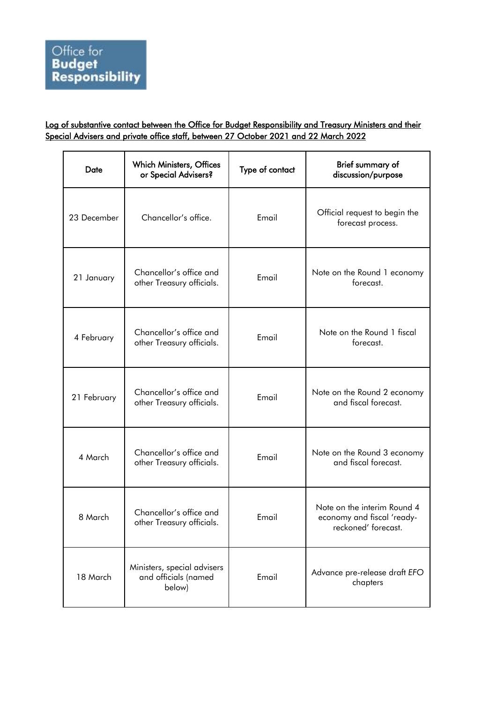## Log of substantive contact between the Office for Budget Responsibility and Treasury Ministers and their Special Advisers and private office staff, between 27 October 2021 and 22 March 2022

| Date        | <b>Which Ministers, Offices</b><br>or Special Advisers?       | Type of contact | Brief summary of<br>discussion/purpose                                           |
|-------------|---------------------------------------------------------------|-----------------|----------------------------------------------------------------------------------|
| 23 December | Chancellor's office.                                          | Email           | Official request to begin the<br>forecast process.                               |
| 21 January  | Chancellor's office and<br>other Treasury officials.          | Email           | Note on the Round 1 economy<br>forecast.                                         |
| 4 February  | Chancellor's office and<br>other Treasury officials.          | Email           | Note on the Round 1 fiscal<br>forecast.                                          |
| 21 February | Chancellor's office and<br>other Treasury officials.          | Email           | Note on the Round 2 economy<br>and fiscal forecast.                              |
| 4 March     | Chancellor's office and<br>other Treasury officials.          | Email           | Note on the Round 3 economy<br>and fiscal forecast.                              |
| 8 March     | Chancellor's office and<br>other Treasury officials.          | Email           | Note on the interim Round 4<br>economy and fiscal 'ready-<br>reckoned' forecast. |
| 18 March    | Ministers, special advisers<br>and officials (named<br>below) | Email           | Advance pre-release draft EFO<br>chapters                                        |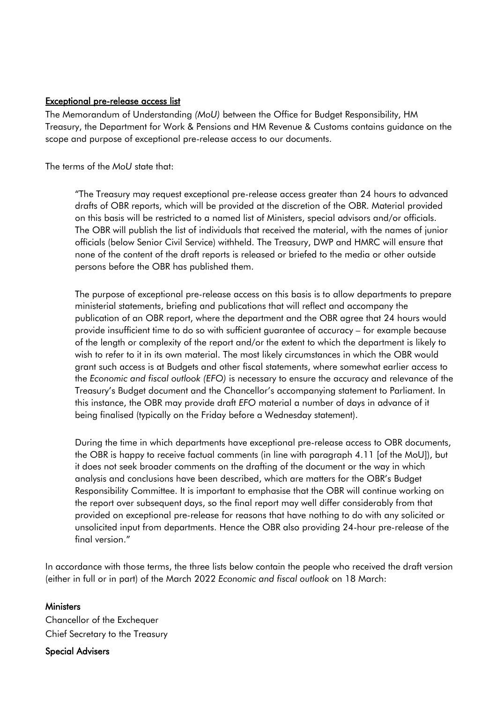## Exceptional pre-release access list

The Memorandum of Understanding *(MoU)* between the Office for Budget Responsibility, HM Treasury, the Department for Work & Pensions and HM Revenue & Customs contains guidance on the scope and purpose of exceptional pre-release access to our documents.

The terms of the *MoU* state that:

"The Treasury may request exceptional pre-release access greater than 24 hours to advanced drafts of OBR reports, which will be provided at the discretion of the OBR. Material provided on this basis will be restricted to a named list of Ministers, special advisors and/or officials. The OBR will publish the list of individuals that received the material, with the names of junior officials (below Senior Civil Service) withheld. The Treasury, DWP and HMRC will ensure that none of the content of the draft reports is released or briefed to the media or other outside persons before the OBR has published them.

The purpose of exceptional pre-release access on this basis is to allow departments to prepare ministerial statements, briefing and publications that will reflect and accompany the publication of an OBR report, where the department and the OBR agree that 24 hours would provide insufficient time to do so with sufficient guarantee of accuracy – for example because of the length or complexity of the report and/or the extent to which the department is likely to wish to refer to it in its own material. The most likely circumstances in which the OBR would grant such access is at Budgets and other fiscal statements, where somewhat earlier access to the *Economic and fiscal outlook (EFO)* is necessary to ensure the accuracy and relevance of the Treasury's Budget document and the Chancellor's accompanying statement to Parliament. In this instance, the OBR may provide draft *EFO* material a number of days in advance of it being finalised (typically on the Friday before a Wednesday statement).

During the time in which departments have exceptional pre-release access to OBR documents, the OBR is happy to receive factual comments (in line with paragraph 4.11 [of the MoU]), but it does not seek broader comments on the drafting of the document or the way in which analysis and conclusions have been described, which are matters for the OBR's Budget Responsibility Committee. It is important to emphasise that the OBR will continue working on the report over subsequent days, so the final report may well differ considerably from that provided on exceptional pre-release for reasons that have nothing to do with any solicited or unsolicited input from departments. Hence the OBR also providing 24-hour pre-release of the final version."

In accordance with those terms, the three lists below contain the people who received the draft version (either in full or in part) of the March 2022 *Economic and fiscal outlook* on 18 March:

## **Ministers**

Chancellor of the Exchequer Chief Secretary to the Treasury

Special Advisers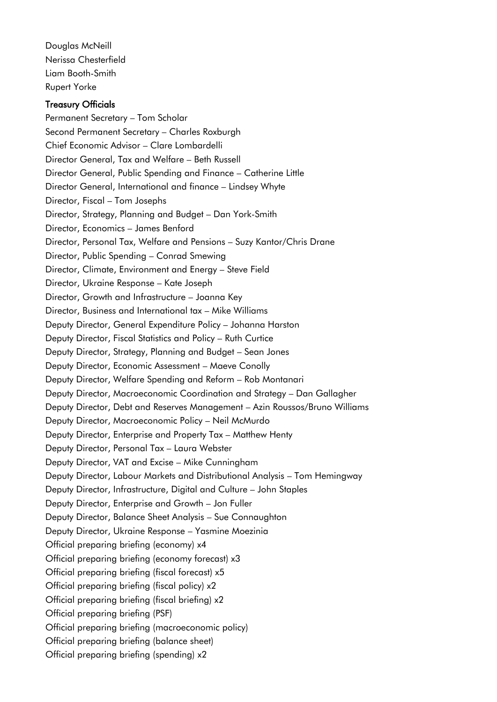Douglas McNeill Nerissa Chesterfield Liam Booth-Smith Rupert Yorke

## Treasury Officials

 Deputy Director, Economic Assessment – Maeve Conolly Permanent Secretary – Tom Scholar Second Permanent Secretary – Charles Roxburgh Chief Economic Advisor – Clare Lombardelli Director General, Tax and Welfare – Beth Russell Director General, Public Spending and Finance – Catherine Little Director General, International and finance – Lindsey Whyte Director, Fiscal – Tom Josephs Director, Strategy, Planning and Budget – Dan York-Smith Director, Economics – James Benford Director, Personal Tax, Welfare and Pensions – Suzy Kantor/Chris Drane Director, Public Spending – Conrad Smewing Director, Climate, Environment and Energy – Steve Field Director, Ukraine Response – Kate Joseph Director, Growth and Infrastructure – Joanna Key Director, Business and International tax – Mike Williams Deputy Director, General Expenditure Policy – Johanna Harston Deputy Director, Fiscal Statistics and Policy – Ruth Curtice Deputy Director, Strategy, Planning and Budget – Sean Jones Deputy Director, Welfare Spending and Reform – Rob Montanari Deputy Director, Macroeconomic Coordination and Strategy – Dan Gallagher Deputy Director, Debt and Reserves Management – Azin Roussos/Bruno Williams Deputy Director, Macroeconomic Policy – Neil McMurdo Deputy Director, Enterprise and Property Tax – Matthew Henty Deputy Director, Personal Tax – Laura Webster Deputy Director, VAT and Excise – Mike Cunningham Deputy Director, Labour Markets and Distributional Analysis – Tom Hemingway Deputy Director, Infrastructure, Digital and Culture – John Staples Deputy Director, Enterprise and Growth – Jon Fuller Deputy Director, Balance Sheet Analysis – Sue Connaughton Deputy Director, Ukraine Response – Yasmine Moezinia Official preparing briefing (economy) x4 Official preparing briefing (economy forecast) x3 Official preparing briefing (fiscal forecast) x5 Official preparing briefing (fiscal policy) x2 Official preparing briefing (fiscal briefing) x2 Official preparing briefing (PSF) Official preparing briefing (macroeconomic policy) Official preparing briefing (balance sheet) Official preparing briefing (spending) x2